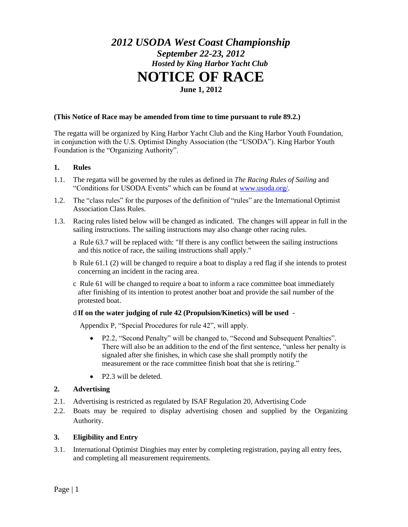# *2012 USODA West Coast Championship September 22-23, 2012 Hosted by King Harbor Yacht Club* **NOTICE OF RACE June 1, 2012**

#### **(This Notice of Race may be amended from time to time pursuant to rule 89.2.)**

The regatta will be organized by King Harbor Yacht Club and the King Harbor Youth Foundation, in conjunction with the U.S. Optimist Dinghy Association (the "USODA"). King Harbor Youth Foundation is the "Organizing Authority".

#### **1. Rules**

- 1.1. The regatta will be governed by the rules as defined in *The Racing Rules of Sailing* and "Conditions for USODA Events" which can be found at [www.usoda.org/.](http://www.usoda.org/)
- 1.2. The "class rules" for the purposes of the definition of "rules" are the International Optimist Association Class Rules.
- 1.3. Racing rules listed below will be changed as indicated. The changes will appear in full in the sailing instructions. The sailing instructions may also change other racing rules.
	- a Rule 63.7 will be replaced with: "If there is any conflict between the sailing instructions and this notice of race, the sailing instructions shall apply."
	- b Rule 61.1 (2) will be changed to require a boat to display a red flag if she intends to protest concerning an incident in the racing area.
	- c Rule 61 will be changed to require a boat to inform a race committee boat immediately after finishing of its intention to protest another boat and provide the sail number of the protested boat.

#### d **If on the water judging of rule 42 (Propulsion/Kinetics) will be used** -

Appendix P, "Special Procedures for rule 42", will apply.

- P2.2, "Second Penalty" will be changed to, "Second and Subsequent Penalties". There will also be an addition to the end of the first sentence, "unless her penalty is signaled after she finishes, in which case she shall promptly notify the measurement or the race committee finish boat that she is retiring."
- P2.3 will be deleted.

#### **2. Advertising**

- 2.1. Advertising is restricted as regulated by ISAF Regulation 20, Advertising Code
- 2.2. Boats may be required to display advertising chosen and supplied by the Organizing Authority.

#### **3. Eligibility and Entry**

3.1. International Optimist Dinghies may enter by completing registration, paying all entry fees, and completing all measurement requirements.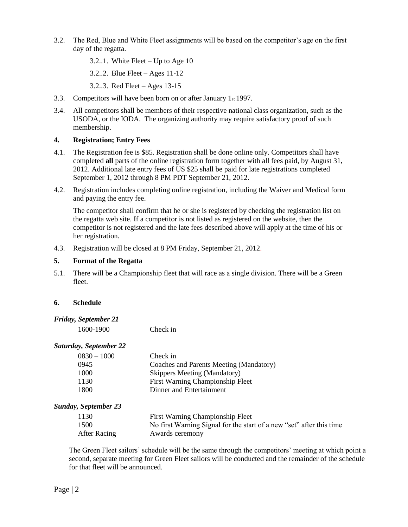- 3.2. The Red, Blue and White Fleet assignments will be based on the competitor's age on the first day of the regatta.
	- 3.2..1. White Fleet Up to Age 10
	- 3.2..2. Blue Fleet Ages 11-12
	- 3.2..3. Red Fleet Ages 13-15
- 3.3. Competitors will have been born on or after January 1st 1997.
- 3.4. All competitors shall be members of their respective national class organization, such as the USODA, or the IODA. The organizing authority may require satisfactory proof of such membership.

#### **4. Registration; Entry Fees**

- 4.1. The Registration fee is \$85. Registration shall be done online only. Competitors shall have completed **all** parts of the online registration form together with all fees paid, by August 31, 2012. Additional late entry fees of US \$25 shall be paid for late registrations completed September 1, 2012 through 8 PM PDT September 21, 2012.
- 4.2. Registration includes completing online registration, including the Waiver and Medical form and paying the entry fee.

The competitor shall confirm that he or she is registered by checking the registration list on the regatta web site. If a competitor is not listed as registered on the website, then the competitor is not registered and the late fees described above will apply at the time of his or her registration.

4.3. Registration will be closed at 8 PM Friday, September 21, 2012.

#### **5. Format of the Regatta**

5.1. There will be a Championship fleet that will race as a single division. There will be a Green fleet.

#### **6. Schedule**

#### *Friday, September 21*

1600-1900 Check in

#### *Saturday, September 22*

| $0830 - 1000$ | Check in                                |
|---------------|-----------------------------------------|
| 0945          | Coaches and Parents Meeting (Mandatory) |
| 1000          | <b>Skippers Meeting (Mandatory)</b>     |
| 1130          | First Warning Championship Fleet        |
| 1800          | Dinner and Entertainment                |
|               |                                         |

#### *Sunday, September 23*

| 1130         | First Warning Championship Fleet                                     |
|--------------|----------------------------------------------------------------------|
| 1500         | No first Warning Signal for the start of a new "set" after this time |
| After Racing | Awards ceremony                                                      |

The Green Fleet sailors' schedule will be the same through the competitors' meeting at which point a second, separate meeting for Green Fleet sailors will be conducted and the remainder of the schedule for that fleet will be announced.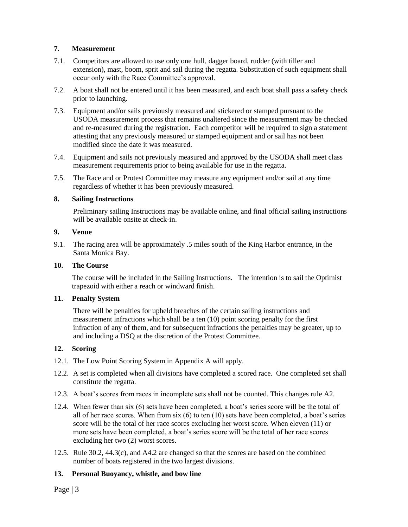## **7. Measurement**

- 7.1. Competitors are allowed to use only one hull, dagger board, rudder (with tiller and extension), mast, boom, sprit and sail during the regatta. Substitution of such equipment shall occur only with the Race Committee's approval.
- 7.2. A boat shall not be entered until it has been measured, and each boat shall pass a safety check prior to launching.
- 7.3. Equipment and/or sails previously measured and stickered or stamped pursuant to the USODA measurement process that remains unaltered since the measurement may be checked and re-measured during the registration. Each competitor will be required to sign a statement attesting that any previously measured or stamped equipment and or sail has not been modified since the date it was measured.
- 7.4. Equipment and sails not previously measured and approved by the USODA shall meet class measurement requirements prior to being available for use in the regatta.
- 7.5. The Race and or Protest Committee may measure any equipment and/or sail at any time regardless of whether it has been previously measured.

#### **8. Sailing Instructions**

Preliminary sailing Instructions may be available online, and final official sailing instructions will be available onsite at check-in.

## **9. Venue**

9.1. The racing area will be approximately .5 miles south of the King Harbor entrance, in the Santa Monica Bay.

## **10. The Course**

The course will be included in the Sailing Instructions. The intention is to sail the Optimist trapezoid with either a reach or windward finish.

#### **11. Penalty System**

There will be penalties for upheld breaches of the certain sailing instructions and measurement infractions which shall be a ten (10) point scoring penalty for the first infraction of any of them, and for subsequent infractions the penalties may be greater, up to and including a DSQ at the discretion of the Protest Committee.

# **12. Scoring**

- 12.1. The Low Point Scoring System in Appendix A will apply.
- 12.2. A set is completed when all divisions have completed a scored race. One completed set shall constitute the regatta.
- 12.3. A boat's scores from races in incomplete sets shall not be counted. This changes rule A2.
- 12.4. When fewer than six (6) sets have been completed, a boat's series score will be the total of all of her race scores. When from six (6) to ten (10) sets have been completed, a boat's series score will be the total of her race scores excluding her worst score. When eleven (11) or more sets have been completed, a boat's series score will be the total of her race scores excluding her two (2) worst scores.
- 12.5. Rule 30.2, 44.3(c), and A4.2 are changed so that the scores are based on the combined number of boats registered in the two largest divisions.

# **13. Personal Buoyancy, whistle, and bow line**

Page | 3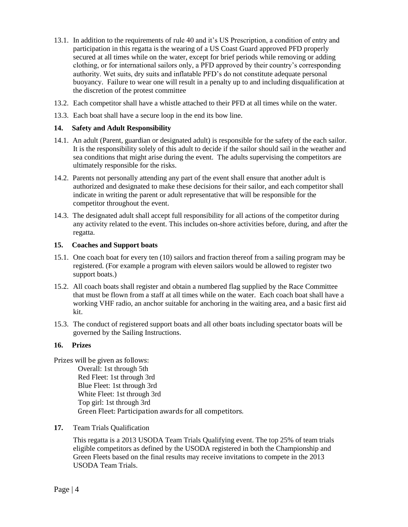- 13.1. In addition to the requirements of rule 40 and it's US Prescription, a condition of entry and participation in this regatta is the wearing of a US Coast Guard approved PFD properly secured at all times while on the water, except for brief periods while removing or adding clothing, or for international sailors only, a PFD approved by their country's corresponding authority. Wet suits, dry suits and inflatable PFD's do not constitute adequate personal buoyancy. Failure to wear one will result in a penalty up to and including disqualification at the discretion of the protest committee
- 13.2. Each competitor shall have a whistle attached to their PFD at all times while on the water.
- 13.3. Each boat shall have a secure loop in the end its bow line.

## **14. Safety and Adult Responsibility**

- 14.1. An adult (Parent, guardian or designated adult) is responsible for the safety of the each sailor. It is the responsibility solely of this adult to decide if the sailor should sail in the weather and sea conditions that might arise during the event. The adults supervising the competitors are ultimately responsible for the risks.
- 14.2. Parents not personally attending any part of the event shall ensure that another adult is authorized and designated to make these decisions for their sailor, and each competitor shall indicate in writing the parent or adult representative that will be responsible for the competitor throughout the event.
- 14.3. The designated adult shall accept full responsibility for all actions of the competitor during any activity related to the event. This includes on-shore activities before, during, and after the regatta.

#### **15. Coaches and Support boats**

- 15.1. One coach boat for every ten (10) sailors and fraction thereof from a sailing program may be registered. (For example a program with eleven sailors would be allowed to register two support boats.)
- 15.2. All coach boats shall register and obtain a numbered flag supplied by the Race Committee that must be flown from a staff at all times while on the water. Each coach boat shall have a working VHF radio, an anchor suitable for anchoring in the waiting area, and a basic first aid kit.
- 15.3. The conduct of registered support boats and all other boats including spectator boats will be governed by the Sailing Instructions.

## **16. Prizes**

- Prizes will be given as follows: Overall: 1st through 5th Red Fleet: 1st through 3rd Blue Fleet: 1st through 3rd White Fleet: 1st through 3rd Top girl: 1st through 3rd Green Fleet: Participation awards for all competitors*.*
- **17.** Team Trials Qualification

This regatta is a 2013 USODA Team Trials Qualifying event. The top 25% of team trials eligible competitors as defined by the USODA registered in both the Championship and Green Fleets based on the final results may receive invitations to compete in the 2013 USODA Team Trials.